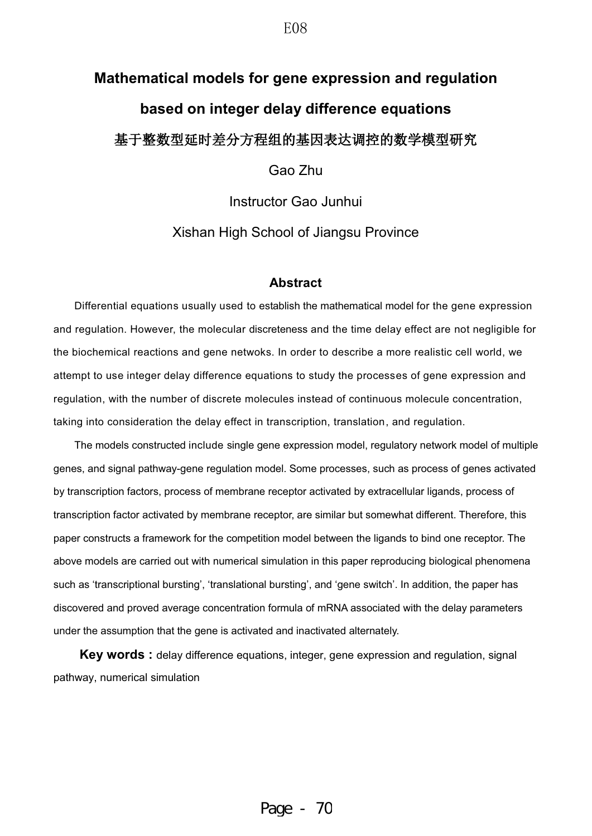# **Mathematical models for gene expression and regulation based on integer delay difference equations** 基于整数型延时差分方程组的基因表达调控的数学模型研究

Gao Zhu

Instructor Gao Junhui

Xishan High School of Jiangsu Province

### **Abstract**

Differential equations usually used to establish the mathematical model for the gene expression and regulation. However, the molecular discreteness and the time delay effect are not negligible for the biochemical reactions and gene netwoks. In order to describe a more realistic cell world, we attempt to use integer delay difference equations to study the processes of gene expression and regulation, with the number of discrete molecules instead of continuous molecule concentration, taking into consideration the delay effect in transcription, translation, and regulation.

The models constructed include single gene expression model, regulatory network model of multiple genes, and signal pathway-gene regulation model. Some processes, such as process of genes activated by transcription factors, process of membrane receptor activated by extracellular ligands, process of transcription factor activated by membrane receptor, are similar but somewhat different. Therefore, this paper constructs a framework for the competition model between the ligands to bind one receptor. The above models are carried out with numerical simulation in this paper reproducing biological phenomena such as 'transcriptional bursting', 'translational bursting', and 'gene switch'. In addition, the paper has discovered and proved average concentration formula of mRNA associated with the delay parameters under the assumption that the gene is activated and inactivated alternately.

**Key words :** delay difference equations, integer, gene expression and regulation, signal pathway, numerical simulation

#### E08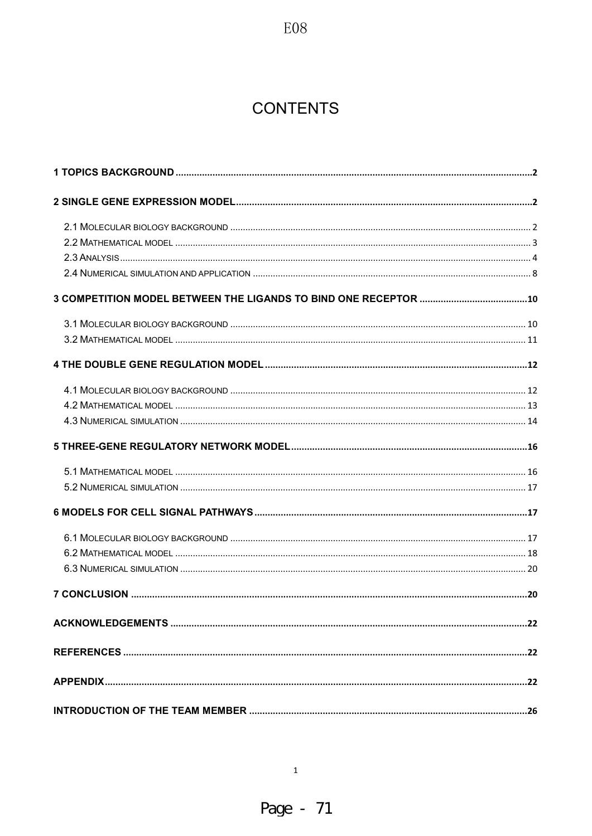## **CONTENTS**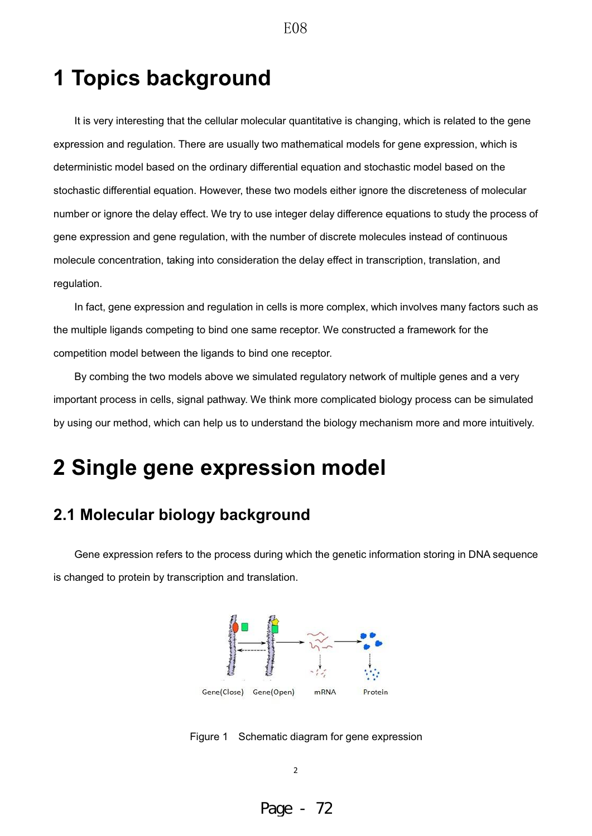## **1 Topics background**

It is very interesting that the cellular molecular quantitative is changing, which is related to the gene expression and regulation. There are usually two mathematical models for gene expression, which is deterministic model based on the ordinary differential equation and stochastic model based on the stochastic differential equation. However, these two models either ignore the discreteness of molecular number or ignore the delay effect. We try to use integer delay difference equations to study the process of gene expression and gene regulation, with the number of discrete molecules instead of continuous molecule concentration, taking into consideration the delay effect in transcription, translation, and regulation.

E08

In fact, gene expression and regulation in cells is more complex, which involves many factors such as the multiple ligands competing to bind one same receptor. We constructed a framework for the competition model between the ligands to bind one receptor.

By combing the two models above we simulated regulatory network of multiple genes and a very important process in cells, signal pathway. We think more complicated biology process can be simulated by using our method, which can help us to understand the biology mechanism more and more intuitively.

## **2 Single gene expression model**

## **2.1 Molecular biology background**

Gene expression refers to the process during which the genetic information storing in DNA sequence is changed to protein by transcription and translation.



Figure 1 Schematic diagram for gene expression

2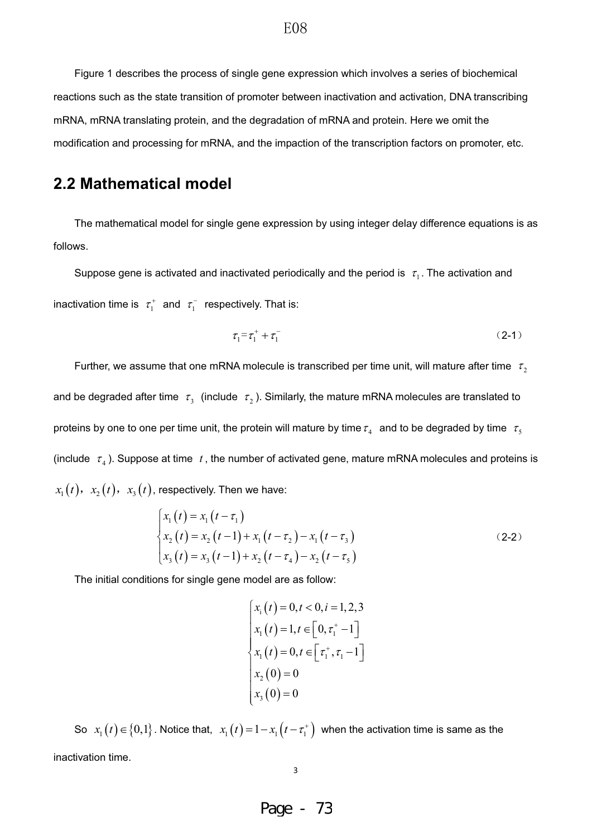Figure 1 describes the process of single gene expression which involves a series of biochemical reactions such as the state transition of promoter between inactivation and activation, DNA transcribing mRNA, mRNA translating protein, and the degradation of mRNA and protein. Here we omit the modification and processing for mRNA, and the impaction of the transcription factors on promoter, etc.

## **2.2 Mathematical model**

The mathematical model for single gene expression by using integer delay difference equations is as follows.

Suppose gene is activated and inactivated periodically and the period is  $\tau_1$ . The activation and inactivation time is  $\tau_1^+$  and  $\tau_1^-$  respectively. That is:

$$
\tau_1 = \tau_1^+ + \tau_1^- \tag{2-1}
$$

Further, we assume that one mRNA molecule is transcribed per time unit, will mature after time  $\tau$ , and be degraded after time  $\tau_3$  (include  $\tau_2$ ). Similarly, the mature mRNA molecules are translated to proteins by one to one per time unit, the protein will mature by time  $\tau_4$  and to be degraded by time  $\tau_5$ (include  $\tau_4$ ). Suppose at time  $t$ , the number of activated gene, mature mRNA molecules and proteins is  $x_1(t)$ ,  $x_2(t)$ ,  $x_3(t)$ , respectively. Then we have:

$$
\begin{cases}\n x_1(t) = x_1(t - \tau_1) \\
 x_2(t) = x_2(t - 1) + x_1(t - \tau_2) - x_1(t - \tau_3) \\
 x_3(t) = x_3(t - 1) + x_2(t - \tau_4) - x_2(t - \tau_5)\n\end{cases}
$$
\n(2-2)

The initial conditions for single gene model are as follow:

$$
\begin{cases}\nx_i(t) = 0, t < 0, i = 1, 2, 3 \\
x_1(t) = 1, t \in [0, \tau_1^+ - 1] \\
x_1(t) = 0, t \in [\tau_1^+, \tau_1 - 1] \\
x_2(0) = 0 \\
x_3(0) = 0\n\end{cases}
$$

So  $x_1(t) \in \{0,1\}$ . Notice that,  $x_1(t) = 1 - x_1(t - \tau_1^+)$  when the activation time is same as the inactivation time.

Page - 73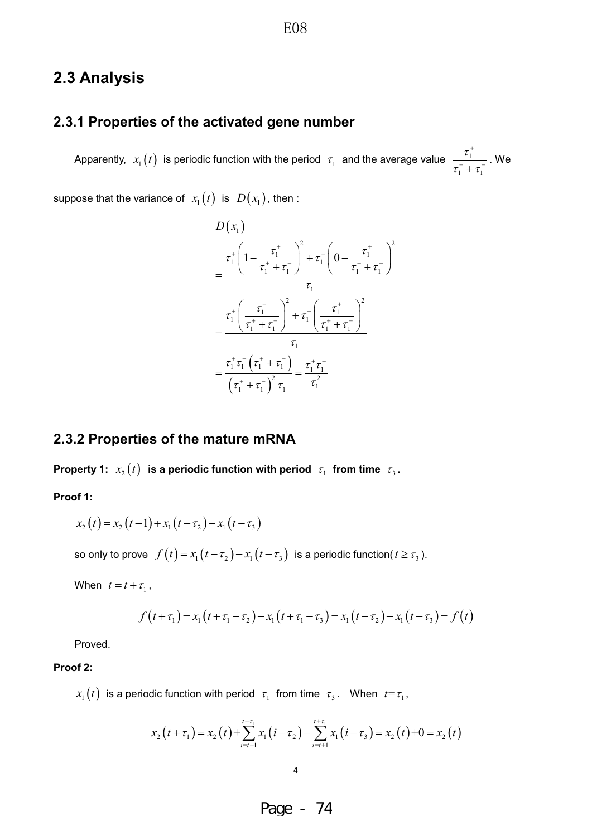## **2.3 Analysis**

### **2.3.1 Properties of the activated gene number**

Apparently,  $x_1(t)$  is periodic function with the period  $\tau_1$  and the average value  $\frac{t_1}{-t_1}$  $1$   $\cdot$   $\cdot$  $\tau$  $\tau$ ,  $+\tau$  $\overline{1}$  $\frac{1}{1+\tau_1}$ . We

suppose that the variance of  $x_1(t)$  is  $D(x_1)$ , then :

$$
D(x_1)
$$
\n
$$
= \frac{\tau_1^+ \left(1 - \frac{\tau_1^+}{\tau_1^+ + \tau_1^-}\right)^2 + \tau_1^- \left(0 - \frac{\tau_1^+}{\tau_1^+ + \tau_1^-}\right)^2}{\tau_1}
$$
\n
$$
= \frac{\tau_1^+ \left(\frac{\tau_1^-}{\tau_1^+ + \tau_1^-}\right)^2 + \tau_1^- \left(\frac{\tau_1^+}{\tau_1^+ + \tau_1^-}\right)^2}{\tau_1}
$$
\n
$$
= \frac{\tau_1^+ \tau_1^- \left(\tau_1^+ + \tau_1^-\right)}{\left(\tau_1^+ + \tau_1^-\right)^2 \tau_1} = \frac{\tau_1^+ \tau_1^-}{\tau_1^2}
$$

### **2.3.2 Properties of the mature mRNA**

**Property 1:**  $x_2(t)$  is a periodic function with period  $\tau_1$  from time  $\tau_3$ .

**Proof 1:** 

$$
x_2(t) = x_2(t-1) + x_1(t - \tau_2) - x_1(t - \tau_3)
$$

so only to prove  $f(t) = x_1(t - \tau_2) - x_1(t - \tau_3)$  is a periodic function( $t \ge \tau_3$ ).

When  $t = t + \tau_1$ ,

$$
f(t+\tau_1) = x_1(t+\tau_1-\tau_2) - x_1(t+\tau_1-\tau_3) = x_1(t-\tau_2) - x_1(t-\tau_3) = f(t)
$$

Proved.

#### **Proof 2:**

 $x_1(t)$  is a periodic function with period  $\tau_1$  from time  $\tau_3$ . When  $t = \tau_1$ ,

$$
x_2(t+\tau_1) = x_2(t) + \sum_{i=t+1}^{t+\tau_1} x_1(i-\tau_2) - \sum_{i=t+1}^{t+\tau_1} x_1(i-\tau_3) = x_2(t) + 0 = x_2(t)
$$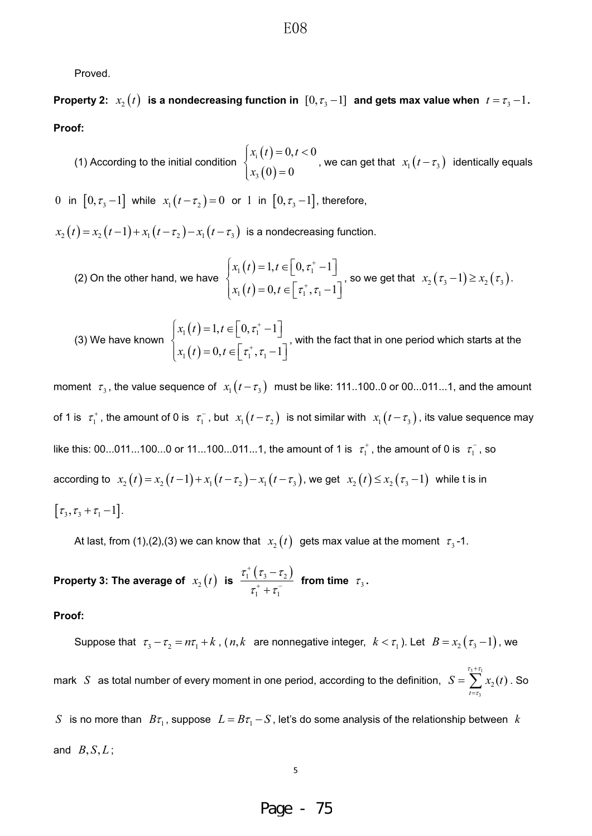Proved.

**Property 2:**  $x_2(t)$  is a nondecreasing function in  $[0, \tau_3-1]$  and gets max value when  $t=\tau_3-1$ . **Proof:** 

(1) According to the initial condition  $\begin{cases} x_i(t) \end{cases}$  $(0)$ i 3  $0, t < 0$  $0) = 0$  $x_i(t) = 0, t$ *x*  $\left[ x_i(t) = 0, t \right]$  $\left\{ \right.$  $x_3(0) =$ , we can get that  $x_1(t-\tau_3)$  identically equals

0 in  $[0, \tau_3 - 1]$  while  $x_1(t - \tau_2) = 0$  or 1 in  $[0, \tau_3 - 1]$ , therefore,

 $x_1(t) = x_2(t-1) + x_1(t-\tau_2) - x_1(t-\tau_3)$  is a nondecreasing function.

(2) On the other hand, we have 
$$
\begin{cases} x_1(t) = 1, t \in \left[0, \tau_1^* - 1\right] \\ x_1(t) = 0, t \in \left[\tau_1^*, \tau_1 - 1\right] \end{cases}
$$
, so we get that  $x_2(\tau_3 - 1) \ge x_2(\tau_3)$ .

(3) We have known 
$$
\begin{cases} x_1(t) = 1, t \in [0, \tau_1^* - 1] \\ x_1(t) = 0, t \in [\tau_1^*, \tau_1 - 1] \end{cases}
$$
, with the fact that in one period which starts at the

moment  $\tau_3$ , the value sequence of  $x_1(t-\tau_3)$  must be like: 111..100..0 or 00...011...1, and the amount of 1 is  $\tau_1^+$ , the amount of 0 is  $\tau_1^-$ , but  $x_1(t-\tau_2)$  is not similar with  $x_1(t-\tau_3)$ , its value sequence may like this: 00...011...100...0 or 11...100...011...1, the amount of 1 is  $\tau_1^+$ , the amount of 0 is  $\tau_1^-$ , so according to  $x_2(t) = x_2(t-1) + x_1(t-\tau_2) - x_1(t-\tau_3)$ , we get  $x_2(t) \le x_2(\tau_3 - 1)$  while t is in  $[\tau_3, \tau_3 + \tau_1 - 1]$ .

At last, from (1),(2),(3) we can know that  $x_2(t)$  gets max value at the moment  $\tau_3$ -1.

Property 3: The average of  $x_2(t)$  is  $\frac{\tau_1^+(\tau_3-\tau_2)}{-\tau_1^+(\tau_3-\tau_1)}$  $1$   $\cdot$   $\cdot$  1  $\tau$ ,  $\tau$ ,  $-\tau$  $\tau$ ,  $+\tau$  $\overline{1}$  $+$  .  $\overline{a}$  $\frac{3}{2}$  from time  $\tau_3$ .

**Proof:** 

and  $B, S, L$ ;

Suppose that  $\tau_3 - \tau_2 = n\tau_1 + k$ ,  $(n, k$  are nonnegative integer,  $k < \tau_1$ ). Let  $B = x_2(\tau_3 - 1)$ , we mark  $|S|$  as total number of every moment in one period, according to the definition,  $|S| = \sum_{i=1}^{\frac{t_1+t_2}{2}}$ 3  $t_2(t)$ *t*  $S = \sum_{i=1}^{\tau_3 + \tau_1} x_2(t)$ : T  $\overline{1}$ L  $=\sum_{i=1}^{n} x_i(t)$ . So *S* is no more than  $B\tau_1$ , suppose  $L=B\tau_1-S$ , let's do some analysis of the relationship between *k* 

Page - 75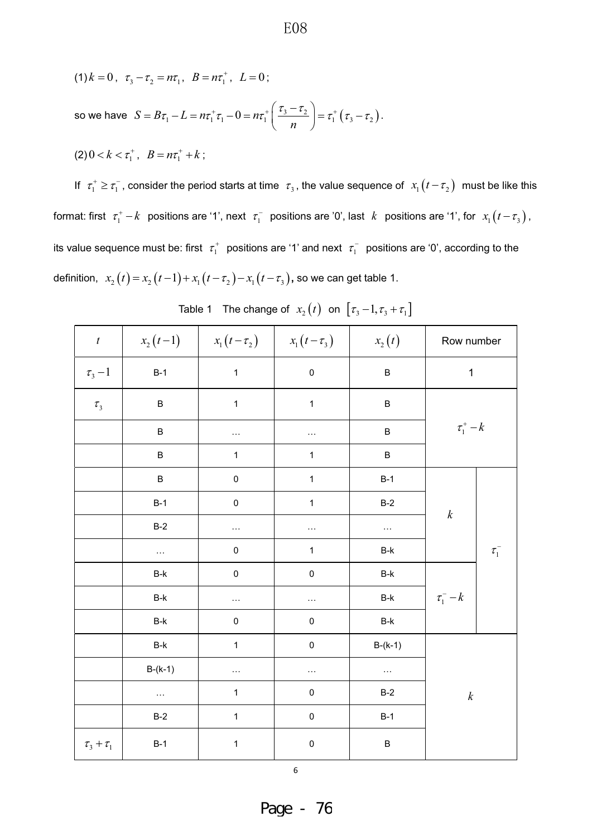(1)  $k = 0$ ,  $\tau_3 - \tau_2 = n\tau_1$ ,  $B = n\tau_1^+$ ,  $L = 0$ ;

so we have  $S = B\tau_1 - L = n\tau_1^+\tau_1 - 0 = n\tau_1^+ \left(\frac{\tau_3 - \tau_2}{n}\right) = \tau_1^+\left(\tau_3 - \tau_2\right)$  $= B\tau_1 - L = n\tau_1^+\tau_1 - 0 = n\tau_1^+\left(\frac{\tau_3 - \tau_2}{n}\right) = \tau_1^+\left(\tau_3 - \tau_2\right).$ 

$$
(2) 0 < k < \tau_1^+, B = n\tau_1^+ + k \ ;
$$

If  $\tau_1^+ \ge \tau_1^-$ , consider the period starts at time  $\tau_3$ , the value sequence of  $x_1(t-\tau_2)$  must be like this format: first  $\tau_1^+ - k$  positions are '1', next  $\tau_1^-$  positions are '0', last  $k$  positions are '1', for  $x_1(t-\tau_3)$ , its value sequence must be: first  $\tau_1^+$  positions are '1' and next  $\tau_1^-$  positions are '0', according to the definition,  $x_2(t) = x_2(t-1) + x_1(t-\tau_2) - x_1(t-\tau_3)$ , so we can get table 1.

E08

| $\boldsymbol{t}$        | $x_2(t-1)$ | $x_1(t-\tau_2)$ $x_1(t-\tau_3)$ |                     | $x_2(t)$                       | Row number       |            |
|-------------------------|------------|---------------------------------|---------------------|--------------------------------|------------------|------------|
| $\tau$ <sub>3</sub> – 1 | $B-1$      | $\mathbf{1}$                    | $\pmb{0}$           | $\sf B$                        | $\mathbf 1$      |            |
| $\tau_{3}$              | $\sf B$    | $\mathbf 1$                     | $\mathbf 1$         | $\sf B$                        |                  |            |
|                         | $\sf B$    | $\ldots$                        | $\cdots$            | $\sf B$                        | $\tau_1^*$ – $k$ |            |
|                         | $\sf B$    | $\mathbf{1}$                    | $\mathbf 1$         | $\sf B$                        |                  |            |
|                         | $\sf B$    | $\mathsf{O}\xspace$             | $\mathbf 1$         | $B-1$                          |                  |            |
|                         | $B-1$      | $\mathsf{O}\xspace$             | $\mathbf{1}$        | $B-2$                          | $\boldsymbol{k}$ |            |
|                         | $B-2$      | $\ldots$                        |                     | $\cdots$                       |                  |            |
|                         | $\ldots$   | $\mathsf{O}\xspace$             | $\mathbf 1$         | $\mathsf{B}\text{-}\mathsf{k}$ |                  | $\tau_1^-$ |
|                         | $B-k$      | $\mathbf 0$                     | $\pmb{0}$           | $\mathsf{B}\text{-}\mathsf{k}$ |                  |            |
|                         | $B-k$      | .                               | $\cdots$            | $\operatorname{\mathsf{B-k}}$  | $\tau_1^-$ - $k$ |            |
|                         | $B-k$      | $\mathbf 0$                     | $\pmb{0}$           | $\mathsf{B}\text{-}\mathsf{k}$ |                  |            |
|                         | $B-k$      | $\mathbf 1$                     | $\mathsf{O}\xspace$ | $B-(k-1)$                      |                  |            |
|                         | $B-(k-1)$  | .                               | .                   | $\ldots$                       |                  |            |
|                         | .          | $\mathbf 1$                     | $\pmb{0}$           | $B-2$                          | $\boldsymbol{k}$ |            |
|                         | $B-2$      | $\mathbf{1}$                    | $\pmb{0}$           | $B-1$                          |                  |            |
| $\tau_{_3}+\tau_{_1}$   | $B-1$      | 1                               | $\pmb{0}$           | $\sf B$                        |                  |            |

|  | Table 1 The change of $x_2(t)$ on $[\tau_3-1, \tau_3+\tau_1]$ |  |  |  |  |
|--|---------------------------------------------------------------|--|--|--|--|
|--|---------------------------------------------------------------|--|--|--|--|

6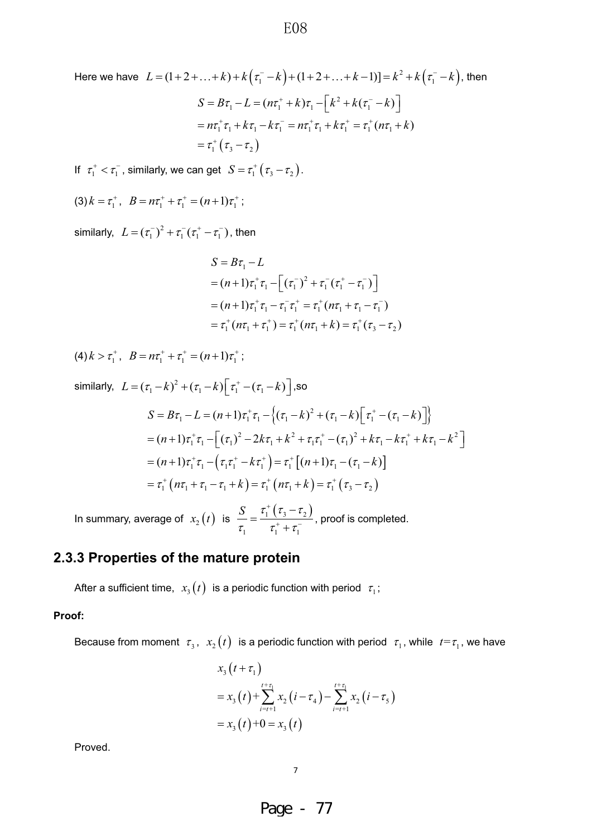Here we have 
$$
L = (1 + 2 + ... + k) + k(\tau_1^- - k) + (1 + 2 + ... + k - 1)] = k^2 + k(\tau_1^- - k)
$$
, then  
\n
$$
S = B\tau_1 - L = (n\tau_1^+ + k)\tau_1 - [k^2 + k(\tau_1^- - k)]
$$
\n
$$
= n\tau_1^+ \tau_1 + k\tau_1 - k\tau_1^- = n\tau_1^+ \tau_1 + k\tau_1^+ = \tau_1^+ (n\tau_1 + k)
$$
\n
$$
= \tau_1^+ (\tau_3 - \tau_2)
$$

If  $\tau_1^+ < \tau_1^-$ , similarly, we can get  $S = \tau_1^+ (\tau_3 - \tau_2)$ .

$$
(3) k = \tau_1^+, B = n\tau_1^+ + \tau_1^+ = (n+1)\tau_1^+;
$$

similarly,  $L = (\tau_1^-)^2 + \tau_1^- (\tau_1^+ - \tau_1^-)$ , then

$$
S = B\tau_1 - L
$$
  
=  $(n+1)\tau_1^+ \tau_1 - [(\tau_1^-)^2 + \tau_1^- (\tau_1^+ - \tau_1^-)]$   
=  $(n+1)\tau_1^+ \tau_1 - \tau_1^- \tau_1^+ = \tau_1^+ (n\tau_1 + \tau_1 - \tau_1^-)$   
=  $\tau_1^+ (n\tau_1 + \tau_1^+) = \tau_1^+ (n\tau_1 + k) = \tau_1^+ (\tau_3 - \tau_2)$ 

 $(4) k > \tau_1^+, B = n\tau_1^+ + \tau_1^+ = (n+1)\tau_1^+;$ 

similarly, 
$$
L = (\tau_1 - k)^2 + (\tau_1 - k) \Big[ \tau_1^+ - (\tau_1 - k) \Big],
$$
so  
\n
$$
S = B\tau_1 - L = (n+1)\tau_1^+ \tau_1 - \Big\{ (\tau_1 - k)^2 + (\tau_1 - k) \Big[ \tau_1^+ - (\tau_1 - k) \Big] \Big\}
$$
  
\n
$$
= (n+1)\tau_1^+ \tau_1 - \Big[ (\tau_1)^2 - 2k\tau_1 + k^2 + \tau_1 \tau_1^+ - (\tau_1)^2 + k\tau_1 - k\tau_1^+ + k\tau_1 - k^2 \Big]
$$
  
\n
$$
= (n+1)\tau_1^+ \tau_1 - \Big( \tau_1 \tau_1^+ - k\tau_1^+ \Big) = \tau_1^+ \Big[ (n+1)\tau_1 - (\tau_1 - k) \Big]
$$
  
\n
$$
= \tau_1^+ \Big( n\tau_1 + \tau_1 - \tau_1 + k \Big) = \tau_1^+ \Big( n\tau_1 + k \Big) = \tau_1^+ \Big( \tau_3 - \tau_2 \Big)
$$

In summary, average of  $x_2(t)$  is  $\frac{S}{t_1} = \frac{\tau_1^+(\tau_3 - \tau_2)}{\tau_1^+(\tau_3 - \tau_1)}$  $1 \quad \epsilon_1 \quad \epsilon_1$  $S \quad \tau_1^+ \left( \tau_3^- - \tau_1^- \right)$  $\tau$ ,  $\tau$ ,  $\tau$  $\overline{+}$  $=\frac{\tau_1^+\left(\tau_3-\tau_2\right)}{\tau_1^++\tau_2^-}$ , proof is completed.

## **2.3.3 Properties of the mature protein**

After a sufficient time,  $x_3(t)$  is a periodic function with period  $\tau_1$ ;

#### **Proof:**

Because from moment  $\tau_3$ ,  $x_2(t)$  is a periodic function with period  $\tau_1$ , while  $t = \tau_1$ , we have

$$
x_3(t+\tau_1)
$$
  
=  $x_3(t)+\sum_{i=t+1}^{t+\tau_1} x_2(i-\tau_4)-\sum_{i=t+1}^{t+\tau_1} x_2(i-\tau_5)$   
=  $x_3(t)+0=x_3(t)$ 

Proved.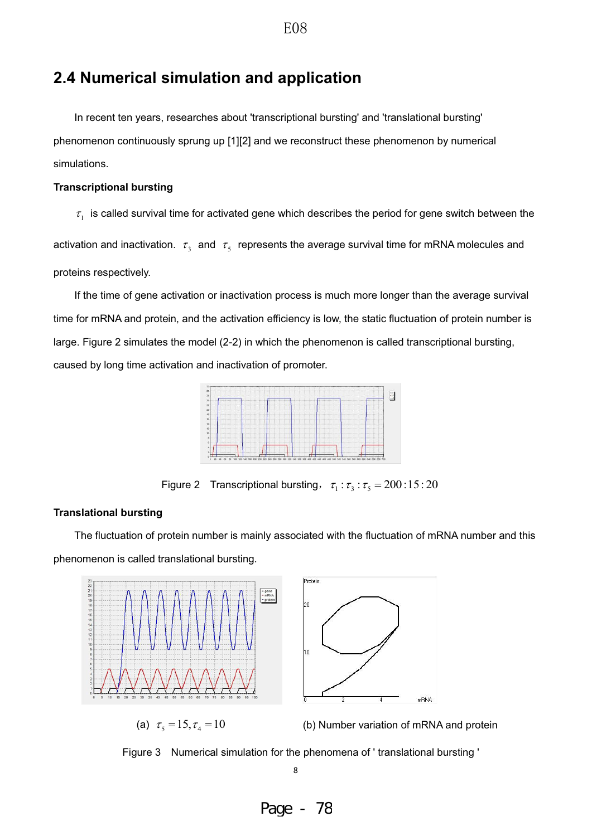## **2.4 Numerical simulation and application**

In recent ten years, researches about 'transcriptional bursting' and 'translational bursting' phenomenon continuously sprung up [1][2] and we reconstruct these phenomenon by numerical simulations.

#### **Transcriptional bursting**

 $\tau_1$  is called survival time for activated gene which describes the period for gene switch between the

activation and inactivation.  $\tau_3$  and  $\tau_5$  represents the average survival time for mRNA molecules and proteins respectively.

If the time of gene activation or inactivation process is much more longer than the average survival time for mRNA and protein, and the activation efficiency is low, the static fluctuation of protein number is large. Figure 2 simulates the model (2-2) in which the phenomenon is called transcriptional bursting, caused by long time activation and inactivation of promoter.



Figure 2 Transcriptional bursting,  $\tau_1 : \tau_3 : \tau_5 = 200:15:20$ 

### **Translational bursting**

The fluctuation of protein number is mainly associated with the fluctuation of mRNA number and this phenomenon is called translational bursting.



Figure 3 Numerical simulation for the phenomena of ' translational bursting '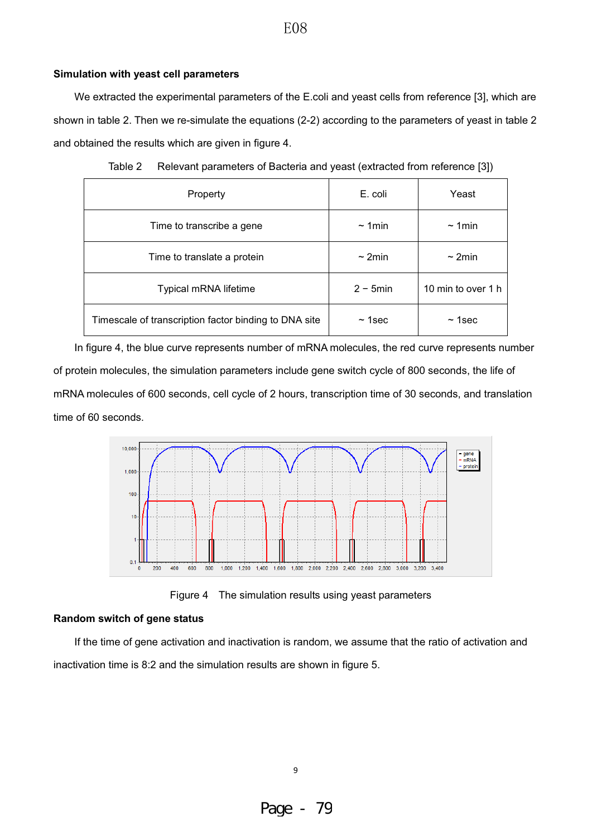#### **Simulation with yeast cell parameters**

We extracted the experimental parameters of the E.coli and yeast cells from reference [3], which are shown in table 2. Then we re-simulate the equations (2-2) according to the parameters of yeast in table 2 and obtained the results which are given in figure 4.

| Property                                              | E. coli      | Yeast              |
|-------------------------------------------------------|--------------|--------------------|
| Time to transcribe a gene                             | $\sim$ 1 min | $\sim$ 1min        |
| Time to translate a protein                           | $\sim$ 2min  | $\sim$ 2min        |
| Typical mRNA lifetime                                 | $2 - 5$ min  | 10 min to over 1 h |
| Timescale of transcription factor binding to DNA site | $~1$ sec     | $~\sim$ 1sec       |

| Table 2 | Relevant parameters of Bacteria and yeast (extracted from reference [3]) |  |  |  |
|---------|--------------------------------------------------------------------------|--|--|--|
|---------|--------------------------------------------------------------------------|--|--|--|

In figure 4, the blue curve represents number of mRNA molecules, the red curve represents number of protein molecules, the simulation parameters include gene switch cycle of 800 seconds, the life of mRNA molecules of 600 seconds, cell cycle of 2 hours, transcription time of 30 seconds, and translation time of 60 seconds.



Figure 4 The simulation results using yeast parameters

#### **Random switch of gene status**

If the time of gene activation and inactivation is random, we assume that the ratio of activation and inactivation time is 8:2 and the simulation results are shown in figure 5.

### E08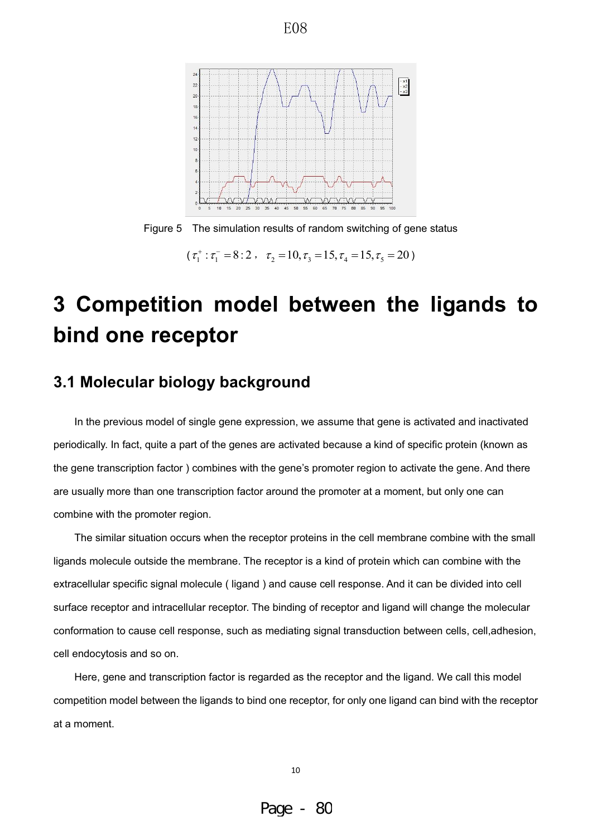

Figure 5 The simulation results of random switching of gene status

 $(\tau_1^* : \tau_1^- = 8 : 2$ ,  $\tau_2 = 10, \tau_3 = 15, \tau_4 = 15, \tau_5 = 20)$ 

## **3 Competition model between the ligands to bind one receptor**

## **3.1 Molecular biology background**

In the previous model of single gene expression, we assume that gene is activated and inactivated periodically. In fact, quite a part of the genes are activated because a kind of specific protein (known as the gene transcription factor ) combines with the gene's promoter region to activate the gene. And there are usually more than one transcription factor around the promoter at a moment, but only one can combine with the promoter region.

The similar situation occurs when the receptor proteins in the cell membrane combine with the small ligands molecule outside the membrane. The receptor is a kind of protein which can combine with the extracellular specific signal molecule ( ligand ) and cause cell response. And it can be divided into cell surface receptor and intracellular receptor. The binding of receptor and ligand will change the molecular conformation to cause cell response, such as mediating signal transduction between cells, cell,adhesion, cell endocytosis and so on.

Here, gene and transcription factor is regarded as the receptor and the ligand. We call this model competition model between the ligands to bind one receptor, for only one ligand can bind with the receptor at a moment.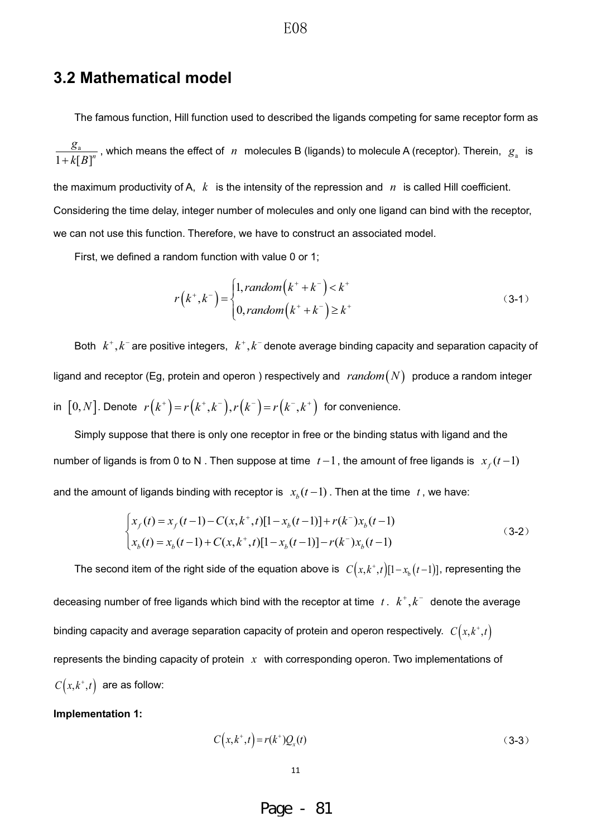### **3.2 Mathematical model**

The famous function, Hill function used to described the ligands competing for same receptor form as

a  $1 + k[B]^{n}$  $\frac{g_a}{g_s+k[B]^n}$ , which means the effect of *n* molecules B (ligands) to molecule A (receptor). Therein,  $g_a$  is

the maximum productivity of A, *k* is the intensity of the repression and *n* is called Hill coefficient. Considering the time delay, integer number of molecules and only one ligand can bind with the receptor, we can not use this function. Therefore, we have to construct an associated model.

First, we defined a random function with value 0 or 1;

$$
r(k^+,k^-) = \begin{cases} 1, random(k^++k^-) < k^+ \\ 0, random(k^++k^-) \ge k^+ \end{cases} \tag{3-1}
$$

Both  $k^{\scriptscriptstyle +}, k^{\scriptscriptstyle -}$  are positive integers,  $\ k^{\scriptscriptstyle +}, k^{\scriptscriptstyle -}$  denote average binding capacity and separation capacity of ligand and receptor (Eg, protein and operon) respectively and  $\; random(N) \;$  produce a random integer in  $[0,N]$ . Denote  $r(k^+) = r(k^+,k^-), r(k^-) = r(k^-,k^+)$  for convenience.

Simply suppose that there is only one receptor in free or the binding status with ligand and the number of ligands is from 0 to N. Then suppose at time  $t-1$ , the amount of free ligands is  $x_f(t-1)$ and the amount of ligands binding with receptor is  $x<sub>b</sub>$  ( $t-1$ ). Then at the time  $t$ , we have:

$$
\begin{cases}\nx_f(t) = x_f(t-1) - C(x, k^+, t)[1 - x_b(t-1)] + r(k^-)x_b(t-1) \\
x_b(t) = x_b(t-1) + C(x, k^+, t)[1 - x_b(t-1)] - r(k^-)x_b(t-1)\n\end{cases} (3-2)
$$

The second item of the right side of the equation above is  $C(x, k^+, t) [1-x_b(t-1)]$ , representing the deceasing number of free ligands which bind with the receptor at time  $\;t$  .  $\;k^{+},k^{-}\;$  denote the average binding capacity and average separation capacity of protein and operon respectively.  $C(x, k^*, t)$ represents the binding capacity of protein *x* with corresponding operon. Two implementations of  $C(x, k^*, t)$  are as follow:

**Implementation 1:** 

$$
C(x, k^+, t) = r(k^+)Q_x(t)
$$
\n(3-3)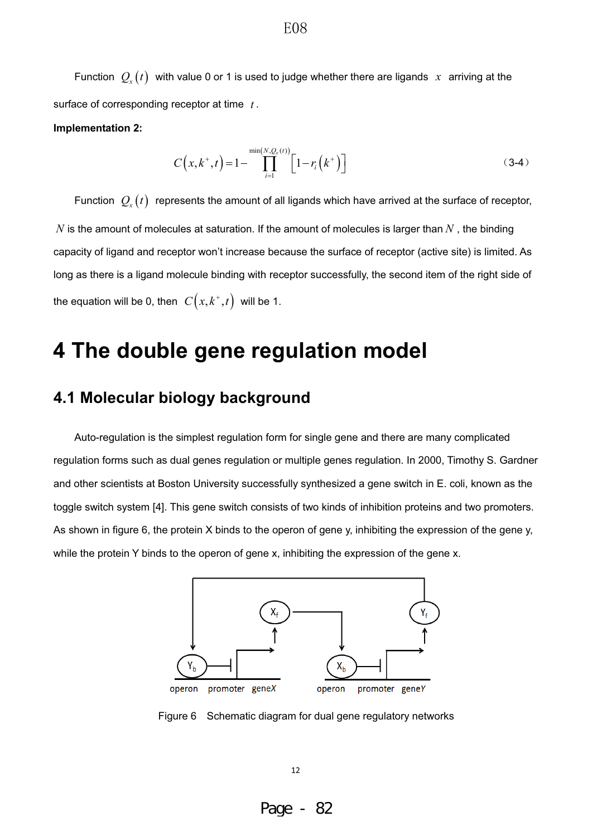Function  $Q_x(t)$  with value 0 or 1 is used to judge whether there are ligands x arriving at the surface of corresponding receptor at time *t* .

#### **Implementation 2:**

$$
C(x, k^+, t) = 1 - \prod_{i=1}^{\min(N, Q_x(t))} \left[ 1 - r_i(k^+) \right]
$$
 (3-4)

Function  $Q_x(t)$  represents the amount of all ligands which have arrived at the surface of receptor, *N* is the amount of molecules at saturation. If the amount of molecules is larger than *N* , the binding capacity of ligand and receptor won't increase because the surface of receptor (active site) is limited. As long as there is a ligand molecule binding with receptor successfully, the second item of the right side of the equation will be 0, then  $C(x, k^+, t)$  will be 1.

## **4 The double gene regulation model**

## **4.1 Molecular biology background**

Auto-regulation is the simplest regulation form for single gene and there are many complicated regulation forms such as dual genes regulation or multiple genes regulation. In 2000, Timothy S. Gardner and other scientists at Boston University successfully synthesized a gene switch in E. coli, known as the toggle switch system [4]. This gene switch consists of two kinds of inhibition proteins and two promoters. As shown in figure 6, the protein X binds to the operon of gene y, inhibiting the expression of the gene y, while the protein Y binds to the operon of gene x, inhibiting the expression of the gene x.



Figure 6 Schematic diagram for dual gene regulatory networks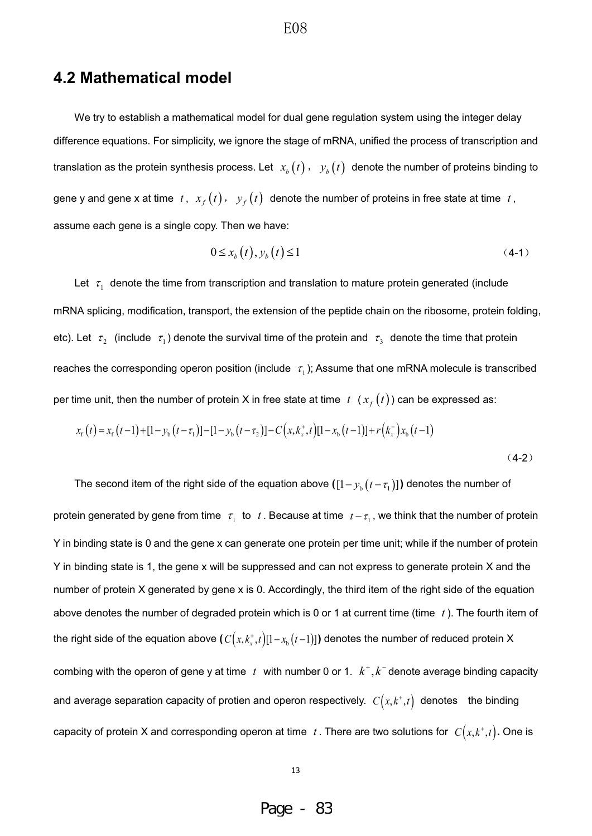### **4.2 Mathematical model**

We try to establish a mathematical model for dual gene regulation system using the integer delay difference equations. For simplicity, we ignore the stage of mRNA, unified the process of transcription and translation as the protein synthesis process. Let  $x_b(t)$ ,  $y_b(t)$  denote the number of proteins binding to gene y and gene x at time  $t$ ,  $x_f(t)$ ,  $y_f(t)$  denote the number of proteins in free state at time  $t$ , assume each gene is a single copy. Then we have:

$$
0 \le x_b(t), y_b(t) \le 1 \tag{4-1}
$$

Let  $\tau_1$  denote the time from transcription and translation to mature protein generated (include mRNA splicing, modification, transport, the extension of the peptide chain on the ribosome, protein folding, etc). Let  $\tau_2$  (include  $\tau_1$ ) denote the survival time of the protein and  $\tau_3$  denote the time that protein reaches the corresponding operon position (include  $\tau_1$ ); Assume that one mRNA molecule is transcribed per time unit, then the number of protein X in free state at time  $t$   $(x<sub>f</sub>(t))$  can be expressed as:

$$
x_{\rm f}(t) = x_{\rm f}(t-1) + [1 - y_{\rm b}(t-\tau_{1})] - [1 - y_{\rm b}(t-\tau_{2})] - C\left(x, k_{\rm x}^{+}, t\right)[1 - x_{\rm b}(t-1)] + r\left(k_{\rm x}^{-}\right)x_{\rm b}(t-1)
$$
\n(4-2)

The second item of the right side of the equation above  $([1 - y_{b} (t - \tau_{1})])$  denotes the number of protein generated by gene from time  $\tau_1$  to  $t$ . Because at time  $t - \tau_1$ , we think that the number of protein Y in binding state is 0 and the gene x can generate one protein per time unit; while if the number of protein Y in binding state is 1, the gene x will be suppressed and can not express to generate protein X and the number of protein X generated by gene x is 0. Accordingly, the third item of the right side of the equation above denotes the number of degraded protein which is 0 or 1 at current time (time *t* ). The fourth item of the right side of the equation above (  $C\big(x, k_{x}^{+}, t\big) [1 - x_{_{\rm b}}\big(t-1\big)]$  ) denotes the number of reduced protein X combing with the operon of gene y at time  $t$  with number 0 or 1.  $k^+, k^-$  denote average binding capacity and average separation capacity of protien and operon respectively.  $C(x, k^+, t)$  denotes the binding capacity of protein X and corresponding operon at time  $t$ . There are two solutions for  $C(x, k^*, t)$ . One is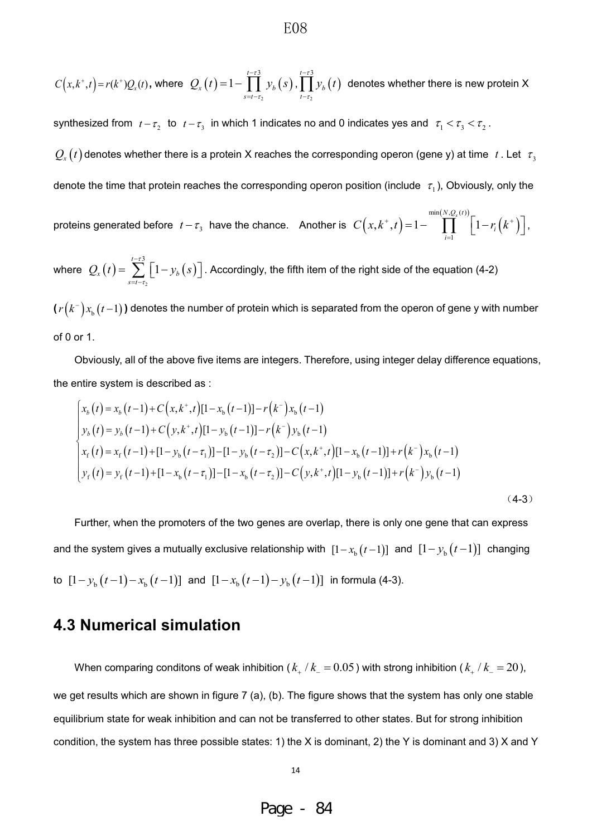$$
C(x, k^+, t) = r(k^+)Q_x(t), \text{ where } Q_x(t) = 1 - \prod_{s=t-\tau_2}^{t-\tau_3} y_b(s), \prod_{t-\tau_2}^{t-\tau_3} y_b(t) \text{ denotes whether there is new protein X}
$$

synthesized from  $t - \tau_2$  to  $t - \tau_3$  in which 1 indicates no and 0 indicates yes and  $\tau_1 < \tau_3 < \tau_2$ .

 $Q_x(t)$  denotes whether there is a protein X reaches the corresponding operon (gene y) at time t. Let  $\tau_3$ denote the time that protein reaches the corresponding operon position (include  $\tau_1$ ), Obviously, only the

proteins generated before  $t-\tau_3$  have the chance. Another is  $\; C\Big(x, k^+, t\Big) \!=\! 1 \!-\! \prod^{ \min(N, Q_\varepsilon(t))}_{\text{min}} \!\!\! \Big\lceil 1 \!-\! r_{\!i} \Big(k^+ \Big)$ 1  $(t, k^+, t) = 1 -$  || |  $N,Q_x(t)$ *i i*  $C(x, k^+, t) = 1 - \prod_{i=1}^{k} 1 - r_i (k^+)$  $= 1 - \prod_{i=1}^{\min(N, Q_X(i))} \left[1 - r_i(k^+) \right],$ 

where  $Q_{\rm r}(t) = \sum_{k=1}^{\infty} \big[1 - y_{\rm b}(s)\big]$ 2 3 1 *t*  $\mathbf{x} \cdot \mathbf{y} = \sum |\mathbf{x} \cdot \mathbf{y}_b|$ *s t*  $Q_{x}(t) = \sum_{k=1}^{t-r_{s}} [1 - y_{k}(s)]$ . T  $\overline{a}$  $\sum_{s=t-7}^{t-75} \left[1-\overline{\mathcal{Y}}_b\left(s\right)\right]$  . Accordingly, the fifth item of the right side of the equation (4-2)

 $(r(k<sup>-</sup>)x<sub>b</sub>(t-1)$ ) denotes the number of protein which is separated from the operon of gene y with number of 0 or 1.

Obviously, all of the above five items are integers. Therefore, using integer delay difference equations, the entire system is described as :

$$
\begin{cases}\nx_b(t) = x_b(t-1) + C\left(x, k^+, t\right)[1-x_b(t-1)] - r(k^-)x_b(t-1) \\
y_b(t) = y_b(t-1) + C\left(y, k^+, t\right)[1-y_b(t-1)] - r(k^-)y_b(t-1) \\
x_f(t) = x_f(t-1) + [1-y_b(t-\tau_1)] - [1-y_b(t-\tau_2)] - C\left(x, k^+, t\right)[1-x_b(t-1)] + r(k^-)x_b(t-1) \\
y_f(t) = y_f(t-1) + [1-x_b(t-\tau_1)] - [1-x_b(t-\tau_2)] - C\left(y, k^+, t\right)[1-y_b(t-1)] + r(k^-)y_b(t-1)\n\end{cases}
$$
\n(4-3)

Further, when the promoters of the two genes are overlap, there is only one gene that can express and the system gives a mutually exclusive relationship with  $[1 - x_{b} (t-1)]$  and  $[1 - y_{b} (t-1)]$  changing to  $[1 - y_{b}(t-1) - x_{b}(t-1)]$  and  $[1 - x_{b}(t-1) - y_{b}(t-1)]$  in formula (4-3).

### **4.3 Numerical simulation**

When comparing conditons of weak inhibition ( $k_{+}/k_{-} = 0.05$ ) with strong inhibition ( $k_{+}/k_{-} = 20$ ), we get results which are shown in figure 7 (a), (b). The figure shows that the system has only one stable equilibrium state for weak inhibition and can not be transferred to other states. But for strong inhibition condition, the system has three possible states: 1) the X is dominant, 2) the Y is dominant and 3) X and Y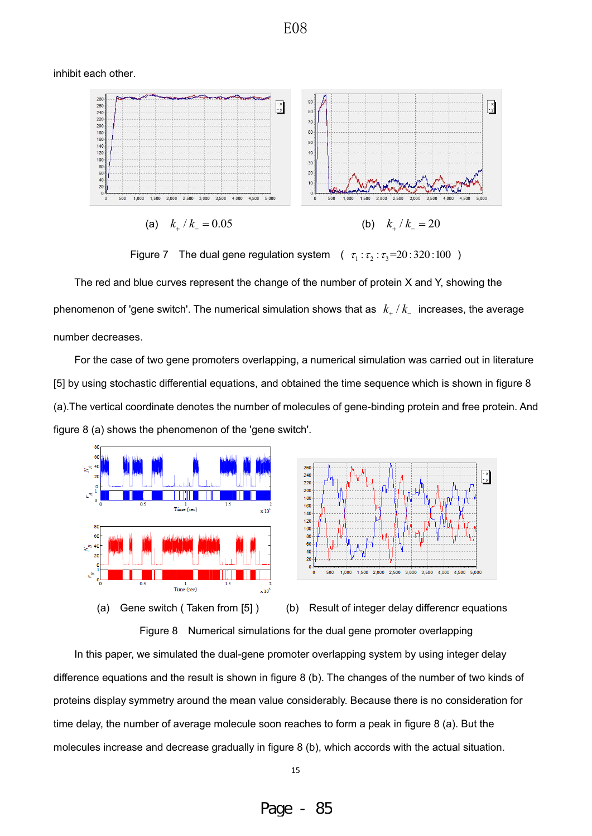inhibit each other.



Figure 7 The dual gene regulation system  $(\tau_1 : \tau_2 : \tau_3 = 20:320:100)$ 

The red and blue curves represent the change of the number of protein X and Y, showing the phenomenon of 'gene switch'. The numerical simulation shows that as  $k_{+}/k_{-}$  increases, the average number decreases.

For the case of two gene promoters overlapping, a numerical simulation was carried out in literature [5] by using stochastic differential equations, and obtained the time sequence which is shown in figure 8 (a).The vertical coordinate denotes the number of molecules of gene-binding protein and free protein. And figure 8 (a) shows the phenomenon of the 'gene switch'.





(a) Gene switch ( Taken from [5] ) (b) Result of integer delay differencr equations

Figure 8 Numerical simulations for the dual gene promoter overlapping

In this paper, we simulated the dual-gene promoter overlapping system by using integer delay difference equations and the result is shown in figure 8 (b). The changes of the number of two kinds of proteins display symmetry around the mean value considerably. Because there is no consideration for time delay, the number of average molecule soon reaches to form a peak in figure 8 (a). But the molecules increase and decrease gradually in figure 8 (b), which accords with the actual situation.

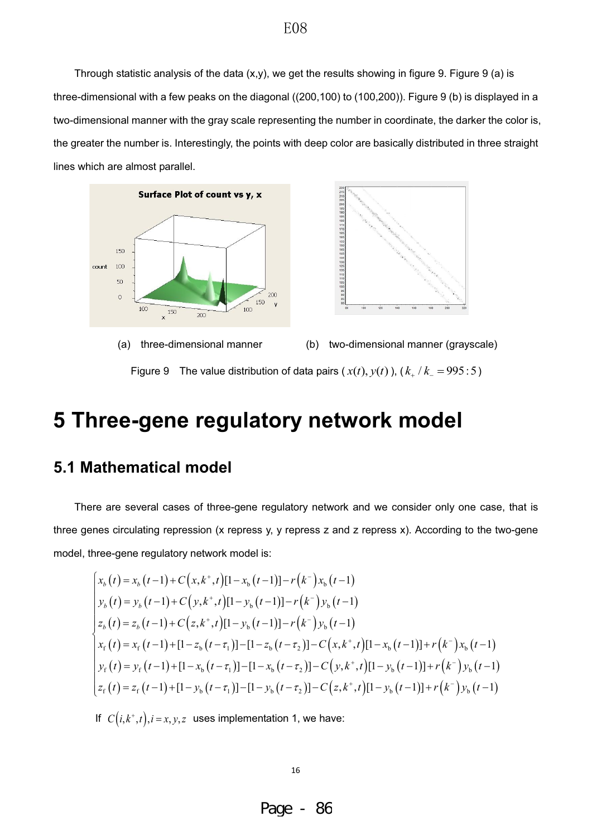Through statistic analysis of the data  $(x,y)$ , we get the results showing in figure 9. Figure 9 (a) is three-dimensional with a few peaks on the diagonal ((200,100) to (100,200)). Figure 9 (b) is displayed in a two-dimensional manner with the gray scale representing the number in coordinate, the darker the color is, the greater the number is. Interestingly, the points with deep color are basically distributed in three straight lines which are almost parallel.







(a) three-dimensional manner (b) two-dimensional manner (grayscale)

Figure 9 The value distribution of data pairs  $(x(t), y(t))$ ,  $(k_{+}/k_{-} = 995:5)$ 

## **5 Three-gene regulatory network model**

## **5.1 Mathematical model**

There are several cases of three-gene regulatory network and we consider only one case, that is three genes circulating repression (x repress y, y repress z and z repress x). According to the two-gene model, three-gene regulatory network model is:

$$
\begin{cases}\nx_b(t) = x_b(t-1) + C(x, k^+, t)[1 - x_b(t-1)] - r(k^-)x_b(t-1) \\
y_b(t) = y_b(t-1) + C(y, k^+, t)[1 - y_b(t-1)] - r(k^-)y_b(t-1) \\
z_b(t) = z_b(t-1) + C(z, k^+, t)[1 - y_b(t-1)] - r(k^-)y_b(t-1) \\
x_f(t) = x_f(t-1) + [1 - z_b(t-\tau_1)] - [1 - z_b(t-\tau_2)] - C(x, k^+, t)[1 - x_b(t-1)] + r(k^-)x_b(t-1) \\
y_f(t) = y_f(t-1) + [1 - x_b(t-\tau_1)] - [1 - x_b(t-\tau_2)] - C(y, k^+, t)[1 - y_b(t-1)] + r(k^-)y_b(t-1) \\
z_f(t) = z_f(t-1) + [1 - y_b(t-\tau_1)] - [1 - y_b(t-\tau_2)] - C(z, k^+, t)[1 - y_b(t-1)] + r(k^-)y_b(t-1)\n\end{cases}
$$

If  $C(i, k^+, t), i = x, y, z$  uses implementation 1, we have: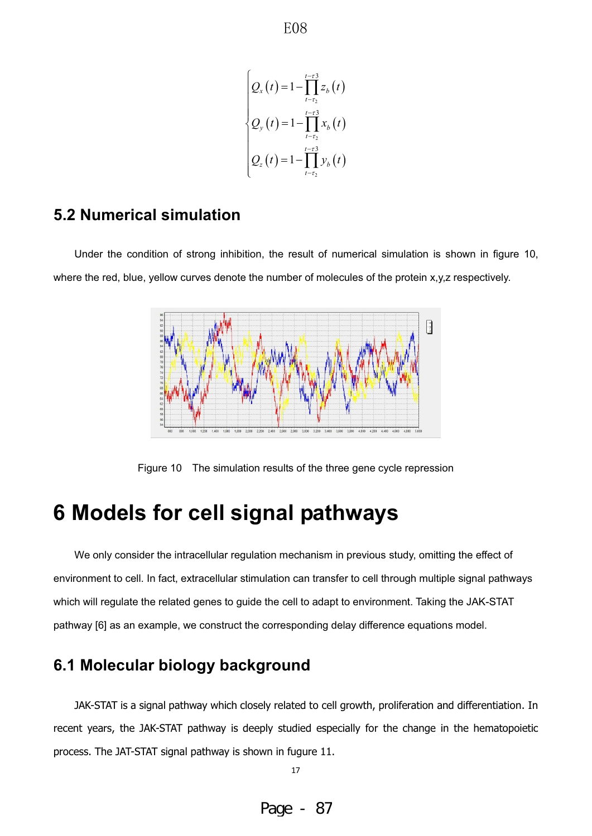$$
\begin{cases} Q_{x}(t) = 1 - \prod_{t=\tau_{2}}^{t-\tau_{3}} z_{b}(t) \\ Q_{y}(t) = 1 - \prod_{t=\tau_{2}}^{t-\tau_{3}} x_{b}(t) \\ Q_{z}(t) = 1 - \prod_{t=\tau_{2}}^{t-\tau_{3}} y_{b}(t) \end{cases}
$$

## **5.2 Numerical simulation**

Under the condition of strong inhibition, the result of numerical simulation is shown in figure 10, where the red, blue, yellow curves denote the number of molecules of the protein x,y,z respectively.



Figure 10 The simulation results of the three gene cycle repression

## **6 Models for cell signal pathways**

We only consider the intracellular regulation mechanism in previous study, omitting the effect of environment to cell. In fact, extracellular stimulation can transfer to cell through multiple signal pathways which will regulate the related genes to guide the cell to adapt to environment. Taking the JAK-STAT pathway [6] as an example, we construct the corresponding delay difference equations model.

## **6.1 Molecular biology background**

JAK-STAT is a signal pathway which closely related to cell growth, proliferation and differentiation. In recent years, the JAK-STAT pathway is deeply studied especially for the change in the hematopoietic process. The JAT-STAT signal pathway is shown in fugure 11.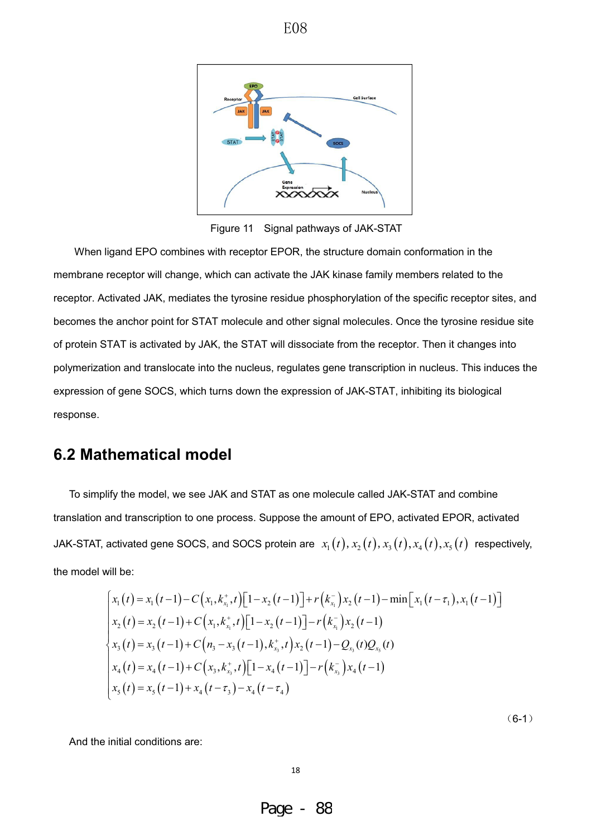

Figure 11 Signal pathways of JAK-STAT

When ligand EPO combines with receptor EPOR, the structure domain conformation in the membrane receptor will change, which can activate the JAK kinase family members related to the receptor. Activated JAK, mediates the tyrosine residue phosphorylation of the specific receptor sites, and becomes the anchor point for STAT molecule and other signal molecules. Once the tyrosine residue site of protein STAT is activated by JAK, the STAT will dissociate from the receptor. Then it changes into polymerization and translocate into the nucleus, regulates gene transcription in nucleus. This induces the expression of gene SOCS, which turns down the expression of JAK-STAT, inhibiting its biological response.

## **6.2 Mathematical model**

To simplify the model, we see JAK and STAT as one molecule called JAK-STAT and combine translation and transcription to one process. Suppose the amount of EPO, activated EPOR, activated JAK-STAT, activated gene SOCS, and SOCS protein are  $x_1(t), x_2(t), x_3(t), x_4(t), x_5(t)$  respectively, the model will be:

$$
\begin{cases}\nx_1(t) = x_1(t-1) - C\big(x_1, k_{x_1}^+, t\big) \big[1 - x_2(t-1)\big] + r\big(k_{x_1}^- \big)x_2(t-1) - \min\big[x_1(t-\tau_1), x_1(t-1)\big] \\
x_2(t) = x_2(t-1) + C\big(x_1, k_{x_1}^+, t\big) \big[1 - x_2(t-1)\big] - r\big(k_{x_1}^- \big)x_2(t-1) \\
x_3(t) = x_3(t-1) + C\big(n_3 - x_3(t-1), k_{x_3}^+, t\big)x_2(t-1) - Q_{x_3}(t)Q_{x_5}(t) \\
x_4(t) = x_4(t-1) + C\big(x_3, k_{x_3}^+, t\big) \big[1 - x_4(t-1)\big] - r\big(k_{x_3}^-\big)x_4(t-1) \\
x_5(t) = x_5(t-1) + x_4(t-\tau_3) - x_4(t-\tau_4)\n\end{cases}
$$

 $(6-1)$ 

And the initial conditions are: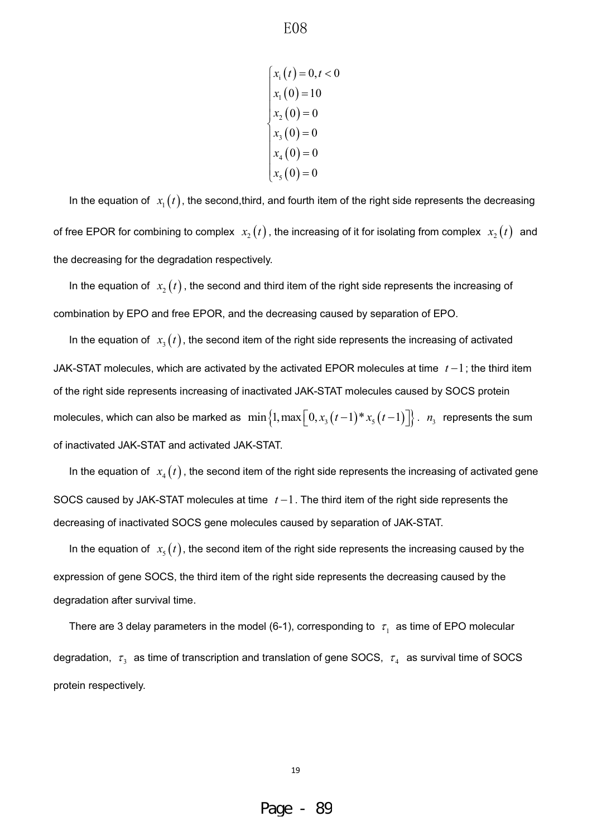$x_i(t) = 0, t < 0$  $x_1(0) = 10$  $x_2(0) = 0$  $(0)$  $(0)$  $x_5(0) = 0$ 3 4  $0) = 0$  $0) = 0$ *x x*  $x_1(0) =$  $x_2(0) =$  $\begin{cases} x_2 & (1) \\ x_3 & (0) = 0 \end{cases}$  $x_4(0) =$ 

In the equation of  $x_1(t)$ , the second, third, and fourth item of the right side represents the decreasing of free EPOR for combining to complex  $x_2(t)$ , the increasing of it for isolating from complex  $x_2(t)$  and the decreasing for the degradation respectively.

In the equation of  $x_2(t)$ , the second and third item of the right side represents the increasing of combination by EPO and free EPOR, and the decreasing caused by separation of EPO.

In the equation of  $x_3(t)$ , the second item of the right side represents the increasing of activated JAK-STAT molecules, which are activated by the activated EPOR molecules at time  $t-1$ ; the third item of the right side represents increasing of inactivated JAK-STAT molecules caused by SOCS protein molecules, which can also be marked as  $\min\{1,\max\left[0,x_3(t-1)*x_5(t-1)\right]\}\$ .  $n_3$  represents the sum of inactivated JAK-STAT and activated JAK-STAT.

In the equation of  $x_4(t)$ , the second item of the right side represents the increasing of activated gene SOCS caused by JAK-STAT molecules at time  $t-1$ . The third item of the right side represents the decreasing of inactivated SOCS gene molecules caused by separation of JAK-STAT.

In the equation of  $x<sub>5</sub>(t)$ , the second item of the right side represents the increasing caused by the expression of gene SOCS, the third item of the right side represents the decreasing caused by the degradation after survival time.

There are 3 delay parameters in the model (6-1), corresponding to  $\tau_1$  as time of EPO molecular degradation,  $\tau_3$  as time of transcription and translation of gene SOCS,  $\tau_4$  as survival time of SOCS protein respectively.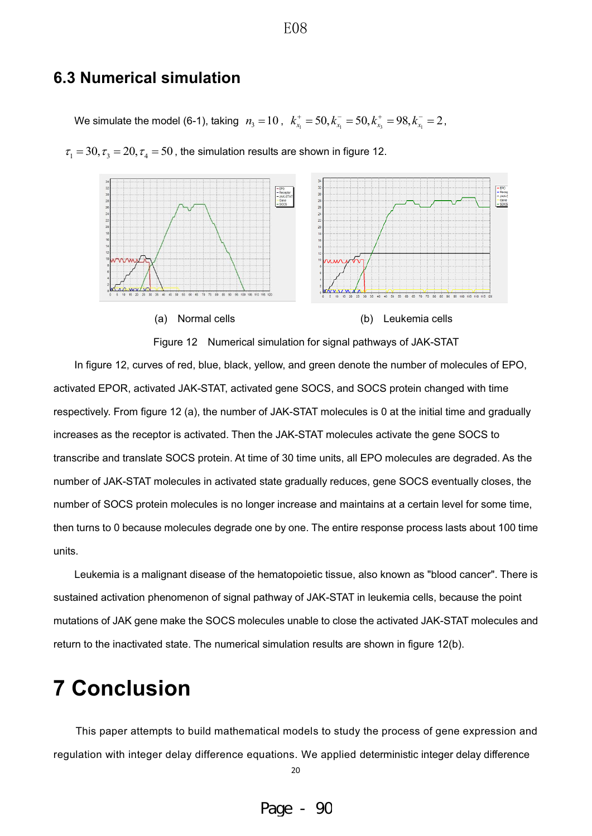### **6.3 Numerical simulation**

We simulate the model (6-1), taking  $n_3 = 10$ ,  $k_{x_1}^+ = 50$ ,  $k_{x_1}^- = 50$ ,  $k_{x_3}^+ = 98$ ,  $k_{x_1}^- = 2$ ,



 $\tau_1 = 30, \tau_2 = 20, \tau_4 = 50$ , the simulation results are shown in figure 12.



In figure 12, curves of red, blue, black, yellow, and green denote the number of molecules of EPO, activated EPOR, activated JAK-STAT, activated gene SOCS, and SOCS protein changed with time respectively. From figure 12 (a), the number of JAK-STAT molecules is 0 at the initial time and gradually increases as the receptor is activated. Then the JAK-STAT molecules activate the gene SOCS to transcribe and translate SOCS protein. At time of 30 time units, all EPO molecules are degraded. As the number of JAK-STAT molecules in activated state gradually reduces, gene SOCS eventually closes, the number of SOCS protein molecules is no longer increase and maintains at a certain level for some time, then turns to 0 because molecules degrade one by one. The entire response process lasts about 100 time units.

Leukemia is a malignant disease of the hematopoietic tissue, also known as "blood cancer". There is sustained activation phenomenon of signal pathway of JAK-STAT in leukemia cells, because the point mutations of JAK gene make the SOCS molecules unable to close the activated JAK-STAT molecules and return to the inactivated state. The numerical simulation results are shown in figure 12(b).

## **7 Conclusion**

This paper attempts to build mathematical models to study the process of gene expression and regulation with integer delay difference equations. We applied deterministic integer delay difference

20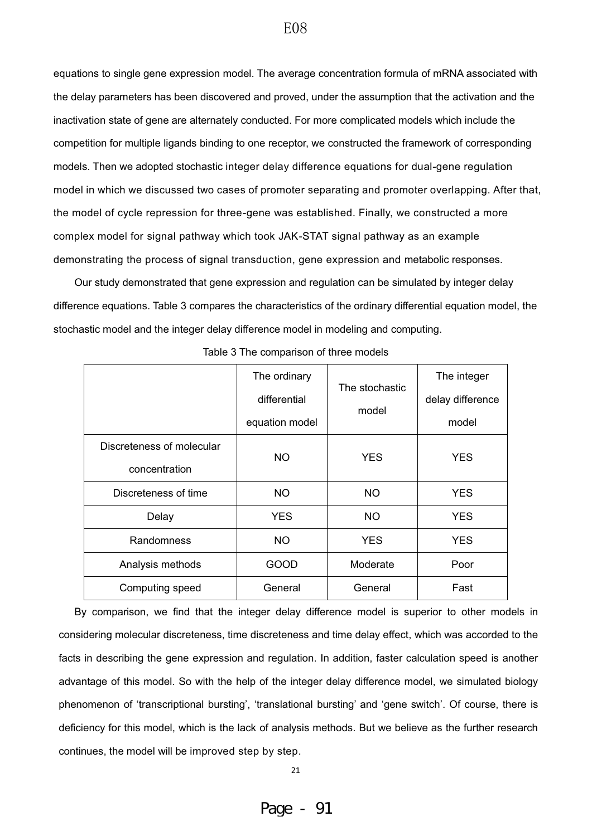equations to single gene expression model. The average concentration formula of mRNA associated with the delay parameters has been discovered and proved, under the assumption that the activation and the inactivation state of gene are alternately conducted. For more complicated models which include the competition for multiple ligands binding to one receptor, we constructed the framework of corresponding models. Then we adopted stochastic integer delay difference equations for dual-gene regulation model in which we discussed two cases of promoter separating and promoter overlapping. After that, the model of cycle repression for three-gene was established. Finally, we constructed a more complex model for signal pathway which took JAK-STAT signal pathway as an example demonstrating the process of signal transduction, gene expression and metabolic responses.

Our study demonstrated that gene expression and regulation can be simulated by integer delay difference equations. Table 3 compares the characteristics of the ordinary differential equation model, the stochastic model and the integer delay difference model in modeling and computing.

|                           | The ordinary   | The stochastic | The integer      |  |
|---------------------------|----------------|----------------|------------------|--|
|                           | differential   |                | delay difference |  |
|                           | equation model | model          | model            |  |
| Discreteness of molecular | NO.            | YES.           | <b>YES</b>       |  |
| concentration             |                |                |                  |  |
| Discreteness of time      | NO.            | NO.            | <b>YES</b>       |  |
| Delay                     | <b>YES</b>     | <b>NO</b>      | <b>YES</b>       |  |
| Randomness                | NO.            | <b>YES</b>     | <b>YES</b>       |  |
| Analysis methods          | GOOD           | Moderate       | Poor             |  |
| Computing speed           | General        | General        | Fast             |  |

Table 3 The comparison of three models

By comparison, we find that the integer delay difference model is superior to other models in considering molecular discreteness, time discreteness and time delay effect, which was accorded to the facts in describing the gene expression and regulation. In addition, faster calculation speed is another advantage of this model. So with the help of the integer delay difference model, we simulated biology phenomenon of 'transcriptional bursting', 'translational bursting' and 'gene switch'. Of course, there is deficiency for this model, which is the lack of analysis methods. But we believe as the further research continues, the model will be improved step by step.

E08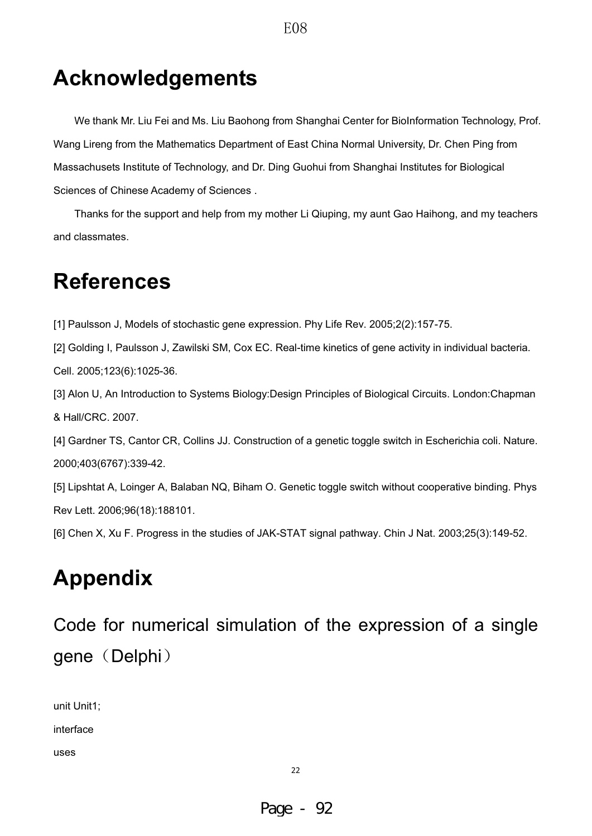## **Acknowledgements**

We thank Mr. Liu Fei and Ms. Liu Baohong from Shanghai Center for BioInformation Technology, Prof. Wang Lireng from the Mathematics Department of East China Normal University, Dr. Chen Ping from Massachusets Institute of Technology, and Dr. Ding Guohui from Shanghai Institutes for Biological Sciences of Chinese Academy of Sciences .

Thanks for the support and help from my mother Li Qiuping, my aunt Gao Haihong, and my teachers and classmates.

## **References**

[1] Paulsson J, Models of stochastic gene expression. Phy Life Rev. 2005;2(2):157-75.

[2] Golding I, Paulsson J, Zawilski SM, Cox EC. Real-time kinetics of gene activity in individual bacteria. Cell. 2005;123(6):1025-36.

[3] Alon U, An Introduction to Systems Biology:Design Principles of Biological Circuits. London:Chapman & Hall/CRC. 2007.

[4] Gardner TS, Cantor CR, Collins JJ. Construction of a genetic toggle switch in Escherichia coli. Nature. 2000;403(6767):339-42.

[5] Lipshtat A, Loinger A, Balaban NQ, Biham O. Genetic toggle switch without cooperative binding. Phys Rev Lett. 2006;96(18):188101.

[6] Chen X, Xu F. Progress in the studies of JAK-STAT signal pathway. Chin J Nat. 2003;25(3):149-52.

## **Appendix**

Code for numerical simulation of the expression of a single gene (Delphi)

unit Unit1;

interface

uses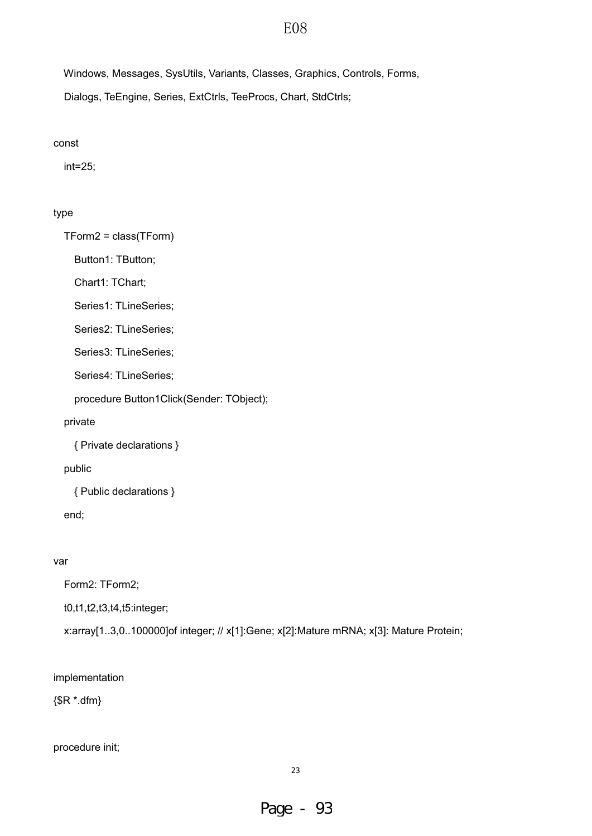Windows, Messages, SysUtils, Variants, Classes, Graphics, Controls, Forms, Dialogs, TeEngine, Series, ExtCtrls, TeeProcs, Chart, StdCtrls;

#### const

int=25;

### type

TForm2 = class(TForm)

Button1: TButton;

Chart1: TChart;

Series1: TLineSeries;

Series2: TLineSeries;

Series3: TLineSeries;

Series4: TLineSeries;

procedure Button1Click(Sender: TObject);

private

{ Private declarations }

public

{ Public declarations }

end;

### var

Form2: TForm2;

t0,t1,t2,t3,t4,t5:integer;

x:array[1..3,0..100000]of integer; // x[1]:Gene; x[2]:Mature mRNA; x[3]: Mature Protein;

### implementation

{\$R \*.dfm}

procedure init;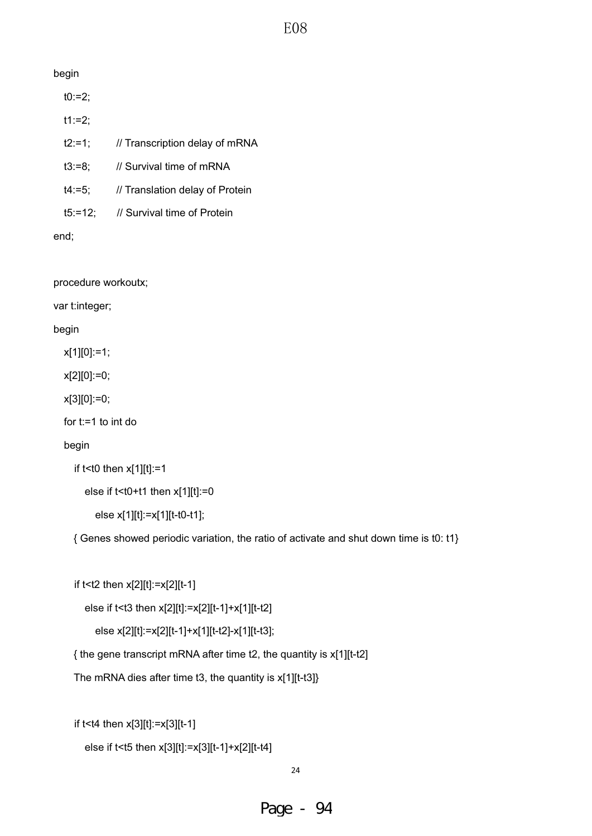### begin

t0:=2;

t1:=2;

- t2:=1; // Transcription delay of mRNA
- t3:=8; // Survival time of mRNA
- t4:=5; // Translation delay of Protein
- t5:=12; // Survival time of Protein

end;

procedure workoutx;

var t:integer;

begin

x[1][0]:=1;

x[2][0]:=0;

x[3][0]:=0;

for t:=1 to int do

### begin

```
if t <t0 then x[1][t]:=1
```

```
else if t < t0 + t1 then x[1][t] := 0
```
else x[1][t]:=x[1][t-t0-t1];

{ Genes showed periodic variation, the ratio of activate and shut down time is t0: t1}

```
 if t<t2 then x[2][t]:=x[2][t-1]
```

```
 else if t<t3 then x[2][t]:=x[2][t-1]+x[1][t-t2]
```

```
 else x[2][t]:=x[2][t-1]+x[1][t-t2]-x[1][t-t3];
```
{ the gene transcript mRNA after time t2, the quantity is x[1][t-t2]

The mRNA dies after time t3, the quantity is x[1][t-t3]}

if t<t4 then x[3][t]:=x[3][t-1]

```
 else if t<t5 then x[3][t]:=x[3][t-1]+x[2][t-t4]
```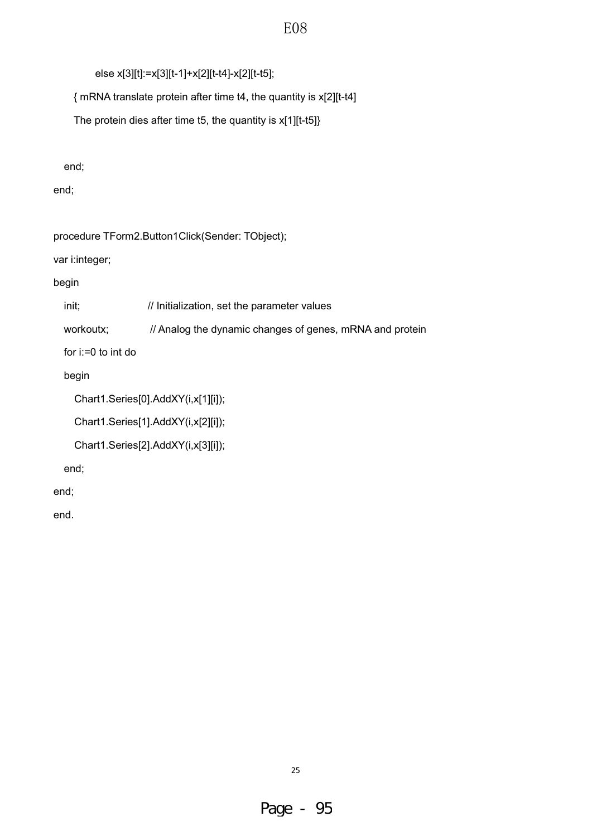else x[3][t]:=x[3][t-1]+x[2][t-t4]-x[2][t-t5];

{ mRNA translate protein after time t4, the quantity is x[2][t-t4]

The protein dies after time t5, the quantity is x[1][t-t5]}

end;

end;

procedure TForm2.Button1Click(Sender: TObject);

var i:integer;

begin

init;  $\frac{1}{10}$  Initialization, set the parameter values

workoutx; // Analog the dynamic changes of genes, mRNA and protein

for i:=0 to int do

begin

```
 Chart1.Series[0].AddXY(i,x[1][i]);
```
Chart1.Series[1].AddXY(i,x[2][i]);

```
 Chart1.Series[2].AddXY(i,x[3][i]);
```
end;

end;

end.